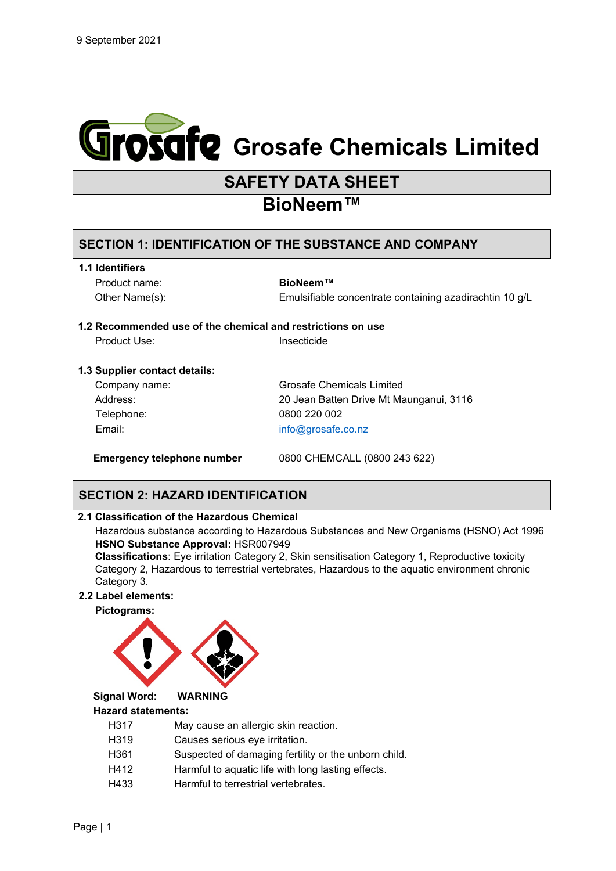

# **SAFETY DATA SHEET**

# **BioNeem™**

# **SECTION 1: IDENTIFICATION OF THE SUBSTANCE AND COMPANY**

**1.1 Identifiers**

Product name: **BioNeem™**

Other Name(s): Emulsifiable concentrate containing azadirachtin 10 g/L

# **1.2 Recommended use of the chemical and restrictions on use**

Product Use: Insecticide

#### **1.3 Supplier contact details:**

| Company name: | Grosafe Chemicals Limited               |
|---------------|-----------------------------------------|
| Address:      | 20 Jean Batten Drive Mt Maunganui, 3116 |
| Telephone:    | 0800 220 002                            |
| Email:        | info@grosafe.co.nz                      |
|               |                                         |

**Emergency telephone number** 0800 CHEMCALL (0800 243 622)

# **SECTION 2: HAZARD IDENTIFICATION**

#### **2.1 Classification of the Hazardous Chemical**

Hazardous substance according to Hazardous Substances and New Organisms (HSNO) Act 1996 **HSNO Substance Approval:** HSR007949

**Classifications**: Eye irritation Category 2, Skin sensitisation Category 1, Reproductive toxicity Category 2, Hazardous to terrestrial vertebrates, Hazardous to the aquatic environment chronic Category 3.

#### **2.2 Label elements:**

**Pictograms:**



**Signal Word: WARNING**

# **Hazard statements:**

- H317 May cause an allergic skin reaction.
- H319 Causes serious eye irritation.
- H361 Suspected of damaging fertility or the unborn child.
- H412 Harmful to aquatic life with long lasting effects.
- H433 Harmful to terrestrial vertebrates.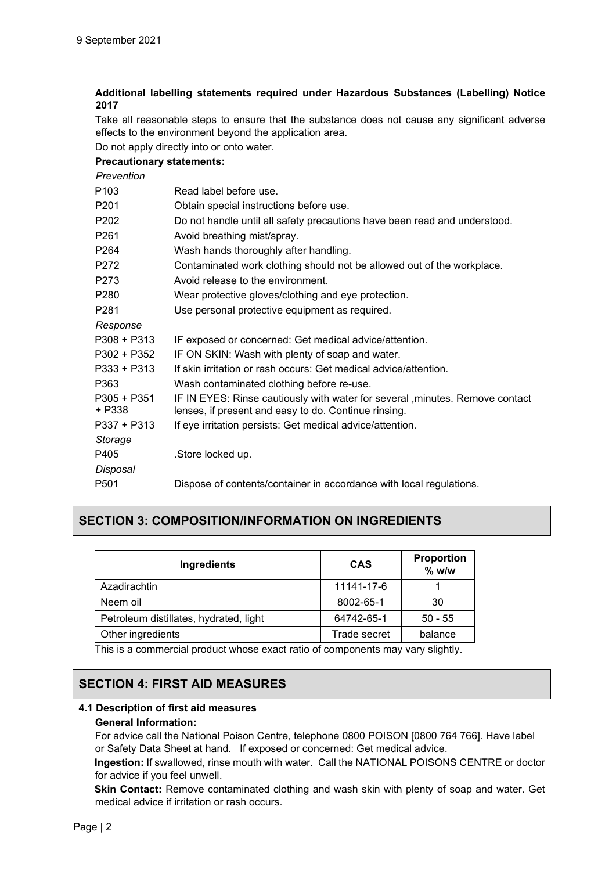#### **Additional labelling statements required under Hazardous Substances (Labelling) Notice 2017**

Take all reasonable steps to ensure that the substance does not cause any significant adverse effects to the environment beyond the application area.

Do not apply directly into or onto water.

#### **Precautionary statements:**

*Prevention*

| Read label before use.                                                                                                                |
|---------------------------------------------------------------------------------------------------------------------------------------|
| Obtain special instructions before use.                                                                                               |
| Do not handle until all safety precautions have been read and understood.                                                             |
| Avoid breathing mist/spray.                                                                                                           |
| Wash hands thoroughly after handling.                                                                                                 |
| Contaminated work clothing should not be allowed out of the workplace.                                                                |
| Avoid release to the environment.                                                                                                     |
| Wear protective gloves/clothing and eye protection.                                                                                   |
| Use personal protective equipment as required.                                                                                        |
|                                                                                                                                       |
| IF exposed or concerned: Get medical advice/attention.                                                                                |
| IF ON SKIN: Wash with plenty of soap and water.                                                                                       |
| If skin irritation or rash occurs: Get medical advice/attention.                                                                      |
| Wash contaminated clothing before re-use.                                                                                             |
| IF IN EYES: Rinse cautiously with water for several , minutes. Remove contact<br>lenses, if present and easy to do. Continue rinsing. |
| If eye irritation persists: Get medical advice/attention.                                                                             |
|                                                                                                                                       |
| .Store locked up.                                                                                                                     |
|                                                                                                                                       |
| Dispose of contents/container in accordance with local regulations.                                                                   |
|                                                                                                                                       |

# **SECTION 3: COMPOSITION/INFORMATION ON INGREDIENTS**

| <b>Ingredients</b>                     | <b>CAS</b>   | Proportion<br>$%$ w/w |
|----------------------------------------|--------------|-----------------------|
| Azadirachtin                           | 11141-17-6   |                       |
| Neem oil                               | 8002-65-1    | 30                    |
| Petroleum distillates, hydrated, light | 64742-65-1   | $50 - 55$             |
| Other ingredients                      | Trade secret | balance               |
| .                                      |              | .                     |

This is a commercial product whose exact ratio of components may vary slightly.

# **SECTION 4: FIRST AID MEASURES**

# **4.1 Description of first aid measures**

#### **General Information:**

For advice call the National Poison Centre, telephone 0800 POISON [0800 764 766]. Have label or Safety Data Sheet at hand. If exposed or concerned: Get medical advice.

**Ingestion:** If swallowed, rinse mouth with water. Call the NATIONAL POISONS CENTRE or doctor for advice if you feel unwell.

**Skin Contact:** Remove contaminated clothing and wash skin with plenty of soap and water. Get medical advice if irritation or rash occurs.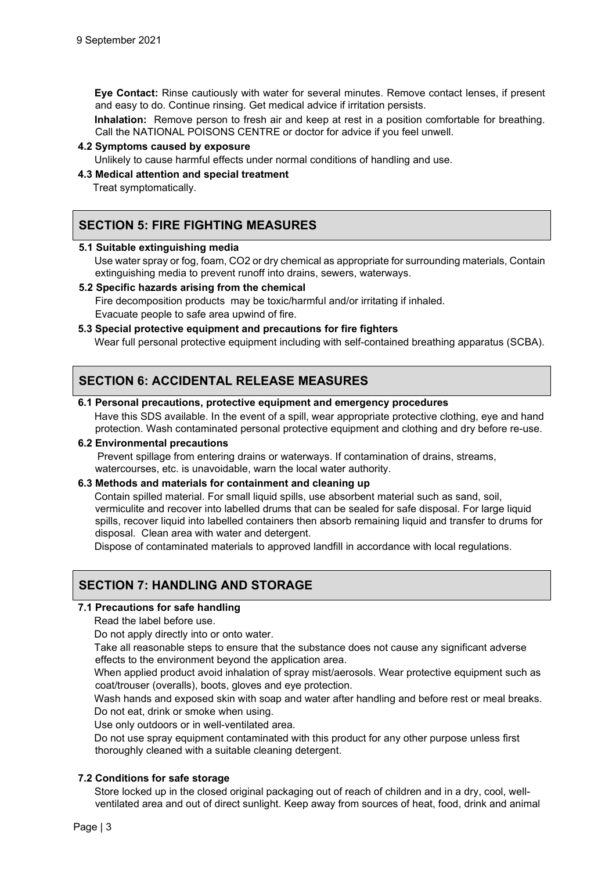**Eye Contact:** Rinse cautiously with water for several minutes. Remove contact lenses, if present and easy to do. Continue rinsing. Get medical advice if irritation persists.

**Inhalation:** Remove person to fresh air and keep at rest in a position comfortable for breathing. Call the NATIONAL POISONS CENTRE or doctor for advice if you feel unwell.

#### **4.2 Symptoms caused by exposure**

Unlikely to cause harmful effects under normal conditions of handling and use.

#### **4.3 Medical attention and special treatment**

Treat symptomatically.

# **SECTION 5: FIRE FIGHTING MEASURES**

#### **5.1 Suitable extinguishing media**

Use water spray or fog, foam, CO2 or dry chemical as appropriate for surrounding materials, Contain extinguishing media to prevent runoff into drains, sewers, waterways.

#### **5.2 Specific hazards arising from the chemical**

Fire decomposition products may be toxic/harmful and/or irritating if inhaled. Evacuate people to safe area upwind of fire.

#### **5.3 Special protective equipment and precautions for fire fighters**

Wear full personal protective equipment including with self-contained breathing apparatus (SCBA).

# **SECTION 6: ACCIDENTAL RELEASE MEASURES**

#### **6.1 Personal precautions, protective equipment and emergency procedures**

Have this SDS available. In the event of a spill, wear appropriate protective clothing, eye and hand protection. Wash contaminated personal protective equipment and clothing and dry before re-use.

#### **6.2 Environmental precautions**

Prevent spillage from entering drains or waterways. If contamination of drains, streams, watercourses, etc. is unavoidable, warn the local water authority.

#### **6.3 Methods and materials for containment and cleaning up**

Contain spilled material. For small liquid spills, use absorbent material such as sand, soil, vermiculite and recover into labelled drums that can be sealed for safe disposal. For large liquid spills, recover liquid into labelled containers then absorb remaining liquid and transfer to drums for disposal. Clean area with water and detergent.

Dispose of contaminated materials to approved landfill in accordance with local regulations.

# **SECTION 7: HANDLING AND STORAGE**

#### **7.1 Precautions for safe handling**

Read the label before use.

Do not apply directly into or onto water.

Take all reasonable steps to ensure that the substance does not cause any significant adverse effects to the environment beyond the application area.

When applied product avoid inhalation of spray mist/aerosols. Wear protective equipment such as coat/trouser (overalls), boots, gloves and eye protection.

Wash hands and exposed skin with soap and water after handling and before rest or meal breaks. Do not eat, drink or smoke when using.

Use only outdoors or in well-ventilated area.

Do not use spray equipment contaminated with this product for any other purpose unless first thoroughly cleaned with a suitable cleaning detergent.

#### **7.2 Conditions for safe storage**

Store locked up in the closed original packaging out of reach of children and in a dry, cool, wellventilated area and out of direct sunlight. Keep away from sources of heat, food, drink and animal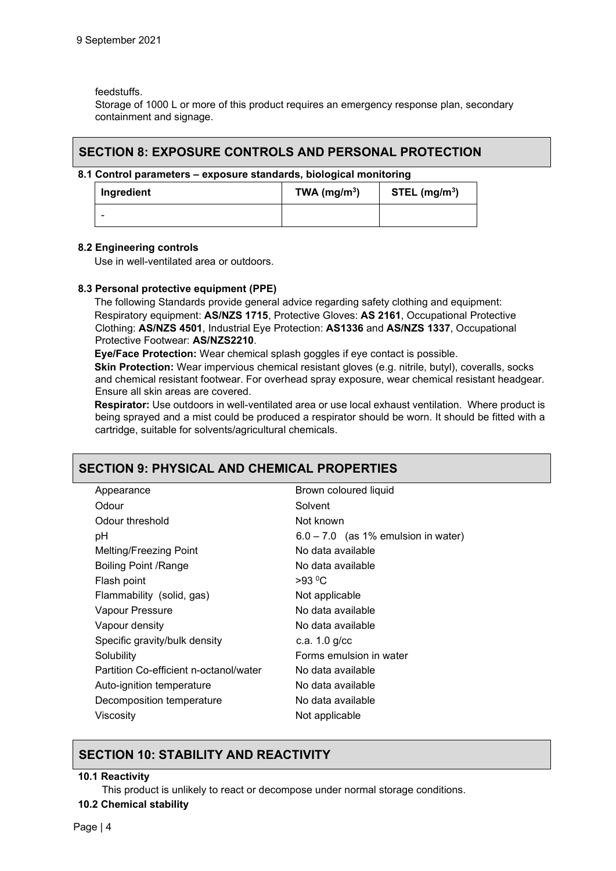feedstuffs.

Storage of 1000 L or more of this product requires an emergency response plan, secondary containment and signage.

### **SECTION 8: EXPOSURE CONTROLS AND PERSONAL PROTECTION**

#### **8.1 Control parameters – exposure standards, biological monitoring**

| Ingredient | TWA $(mg/m3)$ | $STEL$ (mg/m <sup>3</sup> ) |
|------------|---------------|-----------------------------|
| -          |               |                             |

#### **8.2 Engineering controls**

Use in well-ventilated area or outdoors.

#### **8.3 Personal protective equipment (PPE)**

The following Standards provide general advice regarding safety clothing and equipment: Respiratory equipment: **AS/NZS 1715**, Protective Gloves: **AS 2161**, Occupational Protective Clothing: **AS/NZS 4501**, Industrial Eye Protection: **AS1336** and **AS/NZS 1337**, Occupational Protective Footwear: **AS/NZS2210**.

**Eye/Face Protection:** Wear chemical splash goggles if eye contact is possible.

**Skin Protection:** Wear impervious chemical resistant gloves (e.g. nitrile, butyl), coveralls, socks and chemical resistant footwear. For overhead spray exposure, wear chemical resistant headgear. Ensure all skin areas are covered.

**Respirator:** Use outdoors in well-ventilated area or use local exhaust ventilation. Where product is being sprayed and a mist could be produced a respirator should be worn. It should be fitted with a cartridge, suitable for solvents/agricultural chemicals.

# **SECTION 9: PHYSICAL AND CHEMICAL PROPERTIES**

| Brown coloured liquid                 |
|---------------------------------------|
| Solvent                               |
| Not known                             |
| $6.0 - 7.0$ (as 1% emulsion in water) |
| No data available                     |
| No data available                     |
| $>93$ °C                              |
| Not applicable                        |
| No data available                     |
| No data available                     |
| c.a. $1.0$ g/cc                       |
| Forms emulsion in water               |
| No data available                     |
| No data available                     |
| No data available                     |
| Not applicable                        |
|                                       |

# **SECTION 10: STABILITY AND REACTIVITY**

#### **10.1 Reactivity**

This product is unlikely to react or decompose under normal storage conditions.

#### **10.2 Chemical stability**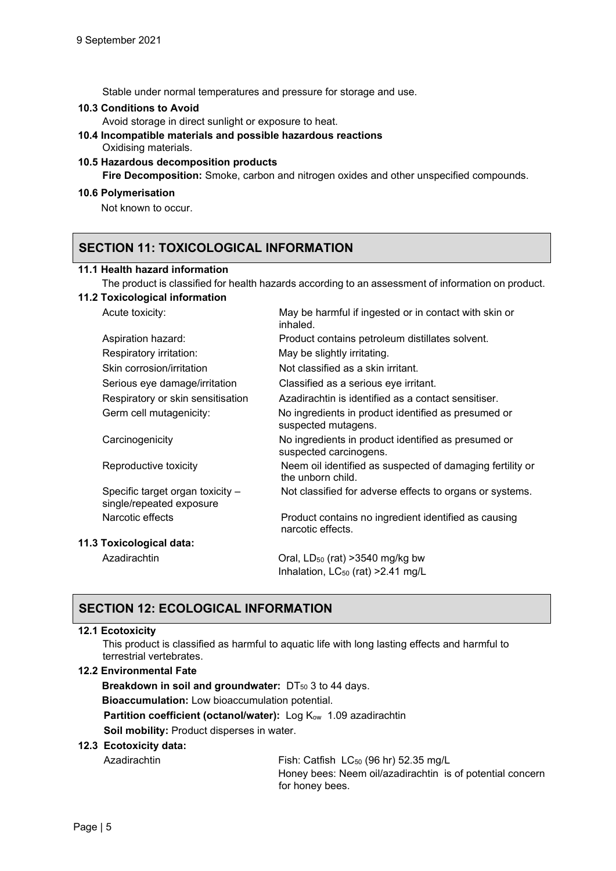Stable under normal temperatures and pressure for storage and use.

#### **10.3 Conditions to Avoid**

Avoid storage in direct sunlight or exposure to heat.

# **10.4 Incompatible materials and possible hazardous reactions**  Oxidising materials.

#### **10.5 Hazardous decomposition products**

**Fire Decomposition:** Smoke, carbon and nitrogen oxides and other unspecified compounds.

#### **10.6 Polymerisation**

Not known to occur.

# **SECTION 11: TOXICOLOGICAL INFORMATION**

#### **11.1 Health hazard information**

The product is classified for health hazards according to an assessment of information on product.

#### **11.2 Toxicological information**

Acute toxicity: May be harmful if ingested or in contact with skin or

| inhaled.                                                                                                                                                                                                                                                                                         |
|--------------------------------------------------------------------------------------------------------------------------------------------------------------------------------------------------------------------------------------------------------------------------------------------------|
| Product contains petroleum distillates solvent.                                                                                                                                                                                                                                                  |
| May be slightly irritating.                                                                                                                                                                                                                                                                      |
| Not classified as a skin irritant.                                                                                                                                                                                                                                                               |
| Classified as a serious eye irritant.                                                                                                                                                                                                                                                            |
| Azadirachtin is identified as a contact sensitiser.                                                                                                                                                                                                                                              |
| No ingredients in product identified as presumed or<br>suspected mutagens.                                                                                                                                                                                                                       |
| No ingredients in product identified as presumed or<br>suspected carcinogens.                                                                                                                                                                                                                    |
| Neem oil identified as suspected of damaging fertility or<br>the unborn child.                                                                                                                                                                                                                   |
| Not classified for adverse effects to organs or systems.                                                                                                                                                                                                                                         |
| Product contains no ingredient identified as causing<br>narcotic effects.                                                                                                                                                                                                                        |
|                                                                                                                                                                                                                                                                                                  |
| Oral, $LD_{50}$ (rat) > 3540 mg/kg bw<br>Inhalation, $LC_{50}$ (rat) > 2.41 mg/L                                                                                                                                                                                                                 |
| Aspiration hazard:<br>Respiratory irritation:<br>Skin corrosion/irritation<br>Serious eye damage/irritation<br>Respiratory or skin sensitisation<br>Germ cell mutagenicity:<br>Reproductive toxicity<br>Specific target organ toxicity -<br>single/repeated exposure<br>11.3 Toxicological data: |

# **SECTION 12: ECOLOGICAL INFORMATION**

#### **12.1 Ecotoxicity**

This product is classified as harmful to aquatic life with long lasting effects and harmful to terrestrial vertebrates.

#### **12.2 Environmental Fate**

**Breakdown in soil and groundwater:** DT<sub>50</sub> 3 to 44 days. **Bioaccumulation:** Low bioaccumulation potential. **Partition coefficient (octanol/water):** Log K<sub>ow</sub> 1.09 azadirachtin **Soil mobility:** Product disperses in water.

#### **12.3 Ecotoxicity data:**

Azadirachtin Fish: Catfish LC<sub>50</sub> (96 hr) 52.35 mg/L Honey bees: Neem oil/azadirachtin is of potential concern for honey bees.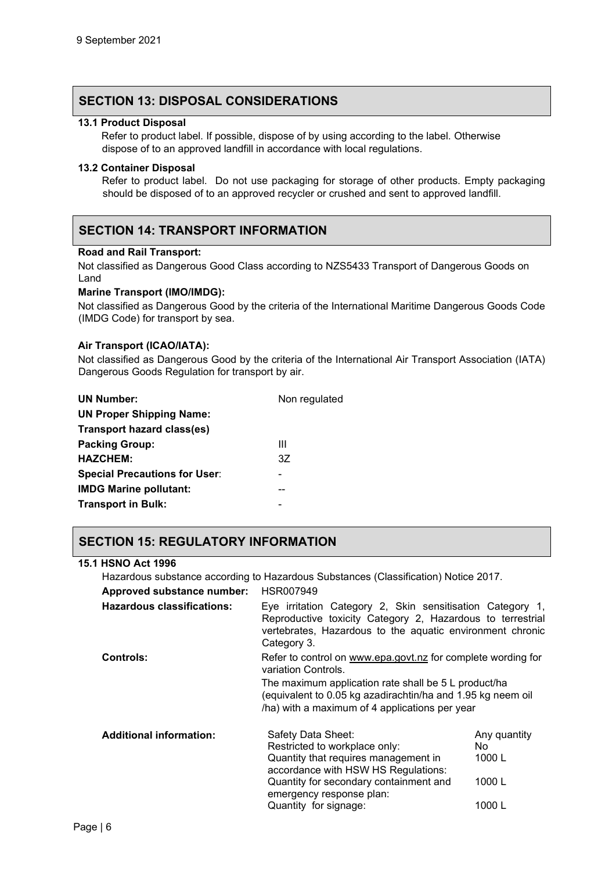### **SECTION 13: DISPOSAL CONSIDERATIONS**

#### **13.1 Product Disposal**

 Refer to product label. If possible, dispose of by using according to the label. Otherwise dispose of to an approved landfill in accordance with local regulations.

#### **13.2 Container Disposal**

Refer to product label. Do not use packaging for storage of other products. Empty packaging should be disposed of to an approved recycler or crushed and sent to approved landfill.

# **SECTION 14: TRANSPORT INFORMATION**

#### **Road and Rail Transport:**

Not classified as Dangerous Good Class according to NZS5433 Transport of Dangerous Goods on Land

#### **Marine Transport (IMO/IMDG):**

Not classified as Dangerous Good by the criteria of the International Maritime Dangerous Goods Code (IMDG Code) for transport by sea.

#### **Air Transport (ICAO/IATA):**

Not classified as Dangerous Good by the criteria of the International Air Transport Association (IATA) Dangerous Goods Regulation for transport by air.

| <b>UN Number:</b>                    | Non regulated |
|--------------------------------------|---------------|
| <b>UN Proper Shipping Name:</b>      |               |
| Transport hazard class(es)           |               |
| <b>Packing Group:</b>                | Ш             |
| <b>HAZCHEM:</b>                      | 3Z            |
| <b>Special Precautions for User:</b> |               |
| <b>IMDG Marine pollutant:</b>        |               |
| <b>Transport in Bulk:</b>            | -             |

# **SECTION 15: REGULATORY INFORMATION**

#### **15.1 HSNO Act 1996**

Hazardous substance according to Hazardous Substances (Classification) Notice 2017.

| Approved substance number:        | HSR007949             |
|-----------------------------------|-----------------------|
| <b>Hazardous classifications:</b> | Eye irritation Catego |
|                                   | Reproductive toxicity |

| $\mathbf{r}$ | Eye irritation Category 2, Skin sensitisation Category 1,  |
|--------------|------------------------------------------------------------|
|              | Reproductive toxicity Category 2, Hazardous to terrestrial |
|              | vertebrates, Hazardous to the aquatic environment chronic  |
|              | Category 3.                                                |

# **Controls:** Refer to control on [www.epa.govt.nz](http://www.epa.govt.nz/) for complete wording for variation Controls.

The maximum application rate shall be 5 L product/ha (equivalent to 0.05 kg azadirachtin/ha and 1.95 kg neem oil /ha) with a maximum of 4 applications per year

| <b>Additional information:</b> | Safety Data Sheet:<br>Restricted to workplace only:<br>Quantity that requires management in<br>accordance with HSW HS Regulations:<br>Quantity for secondary containment and | Any quantity<br>No<br>1000 $L$<br>1000 $L$ |
|--------------------------------|------------------------------------------------------------------------------------------------------------------------------------------------------------------------------|--------------------------------------------|
|                                | emergency response plan:<br>Quantity for signage:                                                                                                                            | 1000 $L$                                   |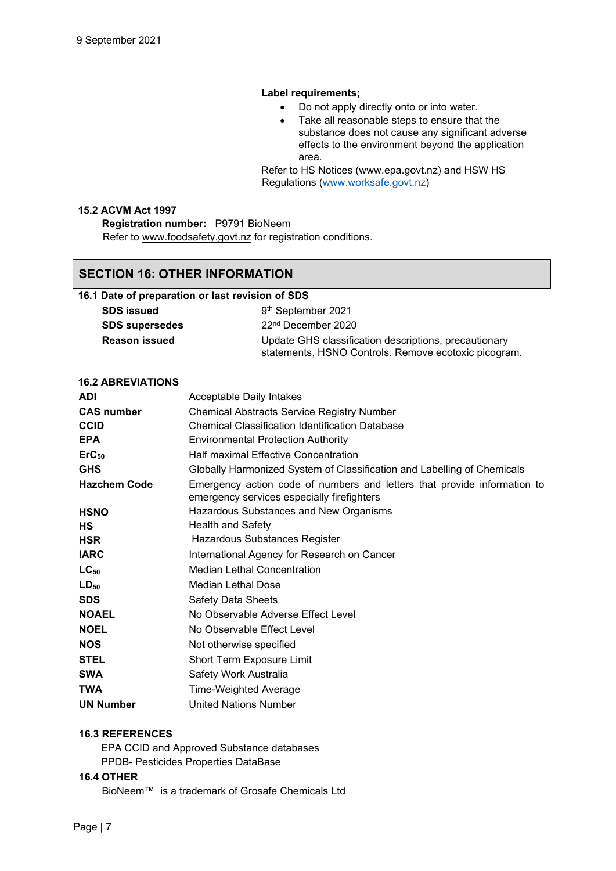#### **Label requirements;**

- Do not apply directly onto or into water.
- Take all reasonable steps to ensure that the substance does not cause any significant adverse effects to the environment beyond the application area.

Refer to HS Notices (www.epa.govt.nz) and HSW HS Regulations [\(www.worksafe.govt.nz\)](http://www.worksafe.govt.nz/)

### **15.2 ACVM Act 1997**

**Registration number:** P9791 BioNeem Refer to [www.foodsafety.govt.nz](http://www.foodsafety.govt.nz/) for registration conditions.

#### **SECTION 16: OTHER INFORMATION**

#### **16.1 Date of preparation or last revision of SDS**

| <b>SDS</b> issued     | 9 <sup>th</sup> September 2021                                                                                |
|-----------------------|---------------------------------------------------------------------------------------------------------------|
| <b>SDS</b> supersedes | 22 <sup>nd</sup> December 2020                                                                                |
| <b>Reason issued</b>  | Update GHS classification descriptions, precautionary<br>statements, HSNO Controls. Remove ecotoxic picogram. |

#### **16.2 ABREVIATIONS**

| <b>ADI</b>          | Acceptable Daily Intakes                                                                                               |
|---------------------|------------------------------------------------------------------------------------------------------------------------|
| <b>CAS number</b>   | <b>Chemical Abstracts Service Registry Number</b>                                                                      |
| <b>CCID</b>         | <b>Chemical Classification Identification Database</b>                                                                 |
| <b>EPA</b>          | <b>Environmental Protection Authority</b>                                                                              |
| $ErC_{50}$          | <b>Half maximal Effective Concentration</b>                                                                            |
| <b>GHS</b>          | Globally Harmonized System of Classification and Labelling of Chemicals                                                |
| <b>Hazchem Code</b> | Emergency action code of numbers and letters that provide information to<br>emergency services especially firefighters |
| <b>HSNO</b>         | Hazardous Substances and New Organisms                                                                                 |
| НS                  | <b>Health and Safety</b>                                                                                               |
| <b>HSR</b>          | Hazardous Substances Register                                                                                          |
| <b>IARC</b>         | International Agency for Research on Cancer                                                                            |
| $LC_{50}$           | <b>Median Lethal Concentration</b>                                                                                     |
| $LD_{50}$           | Median Lethal Dose                                                                                                     |
| <b>SDS</b>          | <b>Safety Data Sheets</b>                                                                                              |
| <b>NOAEL</b>        | No Observable Adverse Effect Level                                                                                     |
| <b>NOEL</b>         | No Observable Effect Level                                                                                             |
| <b>NOS</b>          | Not otherwise specified                                                                                                |
| <b>STEL</b>         | Short Term Exposure Limit                                                                                              |
| <b>SWA</b>          | Safety Work Australia                                                                                                  |
| <b>TWA</b>          | Time-Weighted Average                                                                                                  |
| <b>UN Number</b>    | <b>United Nations Number</b>                                                                                           |

#### **16.3 REFERENCES**

EPA CCID and Approved Substance databases PPDB- Pesticides Properties DataBase

#### **16.4 OTHER**

BioNeem™ is a trademark of Grosafe Chemicals Ltd